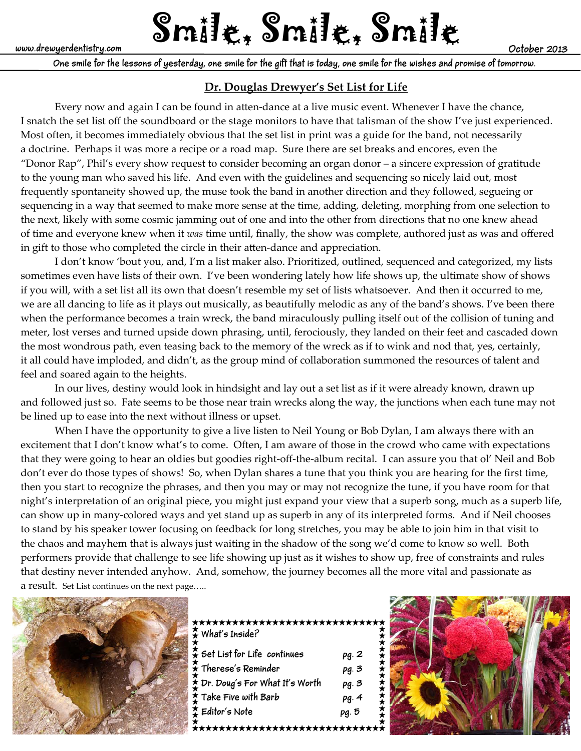# www.drewyerdentistry.com  $\text{Smil}$ <sub>t,</sub>  $\text{Smil}$ <sub>t,</sub>  $\text{Smil}$ <sub>t</sub>

**One smile for the lessons of yesterday, one smile for the gift that is today, one smile for the wishes and promise of tomorrow.**

## **Dr. Douglas Drewyer's Set List for Life**

Every now and again I can be found in atten-dance at a live music event. Whenever I have the chance, I snatch the set list off the soundboard or the stage monitors to have that talisman of the show I've just experienced. Most often, it becomes immediately obvious that the set list in print was a guide for the band, not necessarily a doctrine. Perhaps it was more a recipe or a road map. Sure there are set breaks and encores, even the "Donor Rap", Phil's every show request to consider becoming an organ donor – a sincere expression of gratitude to the young man who saved his life. And even with the guidelines and sequencing so nicely laid out, most frequently spontaneity showed up, the muse took the band in another direction and they followed, segueing or sequencing in a way that seemed to make more sense at the time, adding, deleting, morphing from one selection to the next, likely with some cosmic jamming out of one and into the other from directions that no one knew ahead of time and everyone knew when it *was* time until, finally, the show was complete, authored just as was and offered in gift to those who completed the circle in their atten-dance and appreciation.

I don't know 'bout you, and, I'm a list maker also. Prioritized, outlined, sequenced and categorized, my lists sometimes even have lists of their own. I've been wondering lately how life shows up, the ultimate show of shows if you will, with a set list all its own that doesn't resemble my set of lists whatsoever. And then it occurred to me, we are all dancing to life as it plays out musically, as beautifully melodic as any of the band's shows. I've been there when the performance becomes a train wreck, the band miraculously pulling itself out of the collision of tuning and meter, lost verses and turned upside down phrasing, until, ferociously, they landed on their feet and cascaded down the most wondrous path, even teasing back to the memory of the wreck as if to wink and nod that, yes, certainly, it all could have imploded, and didn't, as the group mind of collaboration summoned the resources of talent and feel and soared again to the heights.

In our lives, destiny would look in hindsight and lay out a set list as if it were already known, drawn up and followed just so. Fate seems to be those near train wrecks along the way, the junctions when each tune may not be lined up to ease into the next without illness or upset.

When I have the opportunity to give a live listen to Neil Young or Bob Dylan, I am always there with an excitement that I don't know what's to come. Often, I am aware of those in the crowd who came with expectations that they were going to hear an oldies but goodies right‐off‐the‐album recital. I can assure you that ol' Neil and Bob don't ever do those types of shows! So, when Dylan shares a tune that you think you are hearing for the first time, then you start to recognize the phrases, and then you may or may not recognize the tune, if you have room for that night's interpretation of an original piece, you might just expand your view that a superb song, much as a superb life, can show up in many-colored ways and yet stand up as superb in any of its interpreted forms. And if Neil chooses to stand by his speaker tower focusing on feedback for long stretches, you may be able to join him in that visit to the chaos and mayhem that is always just waiting in the shadow of the song we'd come to know so well. Both performers provide that challenge to see life showing up just as it wishes to show up, free of constraints and rules that destiny never intended anyhow. And, somehow, the journey becomes all the more vital and passionate as a result. Set List continues on the next page…..



| *****************************<br>$\frac{1}{\star}$ What's Inside? |       |  |
|-------------------------------------------------------------------|-------|--|
| $\frac{1}{2}$ Set List for Life continues                         | pg. 2 |  |
| $\hat{\star}$ Therese's Reminder                                  | pg. 3 |  |
| * Dr. Doug's For What It's Worth                                  | pg. 3 |  |
| <b>I</b> Take Five with Barb                                      | pg.4  |  |
| Feditor's Note                                                    | pg. 5 |  |
|                                                                   |       |  |

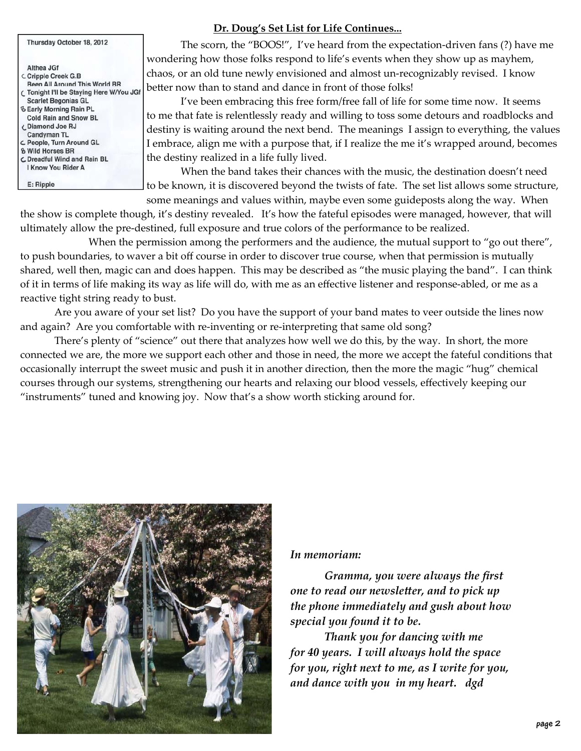| Thursday October 18, 2012                |  |
|------------------------------------------|--|
| Althea JGf                               |  |
| C Cripple Creek G.B                      |  |
| <b>Been All Around This World BR</b>     |  |
| C Tonight I'll be Staying Here W/You JGf |  |
| <b>Scarlet Begonias GL</b>               |  |
| <b>るEarly Morning Rain PL</b>            |  |
| <b>Cold Rain and Snow BL</b>             |  |
| <b>C.</b> Diamond Joe RJ                 |  |
| <b>Candyman TL</b>                       |  |
| C People, Turn Around GL                 |  |
| <b>&amp; Wild Horses BR</b>              |  |
| <b>C</b> Dreadful Wind and Rain BL       |  |
| <b>I Know You Rider A</b>                |  |
| E: Ripple                                |  |

## **Dr. Doug's Set List for Life Continues...**

The scorn, the "BOOS!", I've heard from the expectation‐driven fans (?) have me wondering how those folks respond to life's events when they show up as mayhem, chaos, or an old tune newly envisioned and almost un‐recognizably revised. I know better now than to stand and dance in front of those folks!

I've been embracing this free form/free fall of life for some time now. It seems to me that fate is relentlessly ready and willing to toss some detours and roadblocks and destiny is waiting around the next bend. The meanings I assign to everything, the values I embrace, align me with a purpose that, if I realize the me it's wrapped around, becomes the destiny realized in a life fully lived.

When the band takes their chances with the music, the destination doesn't need to be known, it is discovered beyond the twists of fate. The set list allows some structure, some meanings and values within, maybe even some guideposts along the way. When

the show is complete though, it's destiny revealed. It's how the fateful episodes were managed, however, that will ultimately allow the pre‐destined, full exposure and true colors of the performance to be realized.

When the permission among the performers and the audience, the mutual support to "go out there", to push boundaries, to waver a bit off course in order to discover true course, when that permission is mutually shared, well then, magic can and does happen. This may be described as "the music playing the band". I can think of it in terms of life making its way as life will do, with me as an effective listener and response‐abled, or me as a reactive tight string ready to bust.

Are you aware of your set list? Do you have the support of your band mates to veer outside the lines now and again? Are you comfortable with re-inventing or re-interpreting that same old song?

There's plenty of "science" out there that analyzes how well we do this, by the way. In short, the more connected we are, the more we support each other and those in need, the more we accept the fateful conditions that occasionally interrupt the sweet music and push it in another direction, then the more the magic "hug" chemical courses through our systems, strengthening our hearts and relaxing our blood vessels, effectively keeping our "instruments" tuned and knowing joy. Now that's a show worth sticking around for.



### *In memoriam:*

*Gramma, you were always the first one to read our newsletter, and to pick up the phone immediately and gush about how special you found it to be.* 

*Thank you for dancing with me for 40 years. I will always hold the space for you, right next to me, as I write for you, and dance with you in my heart. dgd*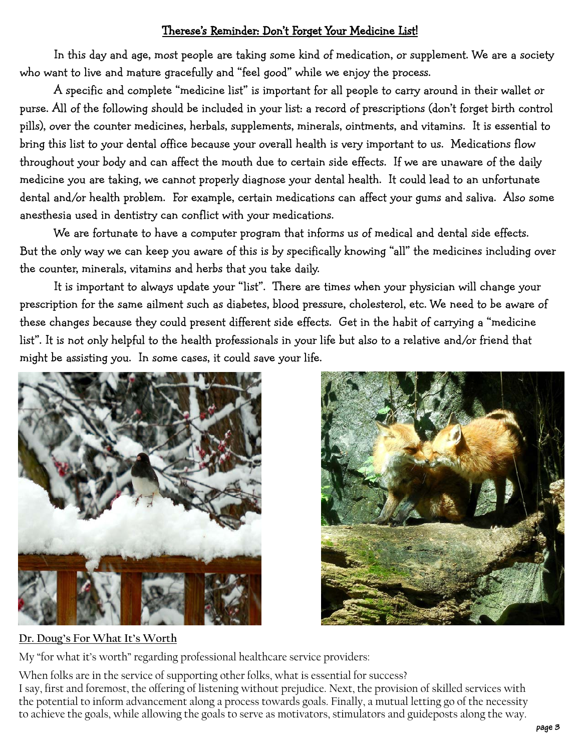# Therese's Reminder: Don't Forget Your Medicine List!

 In this day and age, most people are taking some kind of medication, or supplement. We are a society who want to live and mature gracefully and "feel good" while we enjoy the process.

 A specific and complete "medicine list" is important for all people to carry around in their wallet or purse. All of the following should be included in your list: a record of prescriptions (don't forget birth control pills), over the counter medicines, herbals, supplements, minerals, ointments, and vitamins. It is essential to bring this list to your dental office because your overall health is very important to us. Medications flow throughout your body and can affect the mouth due to certain side effects. If we are unaware of the daily medicine you are taking, we cannot properly diagnose your dental health. It could lead to an unfortunate dental and/or health problem. For example, certain medications can affect your gums and saliva. Also some anesthesia used in dentistry can conflict with your medications.

 We are fortunate to have a computer program that informs us of medical and dental side effects. But the only way we can keep you aware of this is by specifically knowing "all" the medicines including over the counter, minerals, vitamins and herbs that you take daily.

 It is important to always update your "list". There are times when your physician will change your prescription for the same ailment such as diabetes, blood pressure, cholesterol, etc. We need to be aware of these changes because they could present different side effects. Get in the habit of carrying a "medicine list". It is not only helpful to the health professionals in your life but also to a relative and/or friend that might be assisting you. In some cases, it could save your life.





# **Dr. Doug's For What It's Worth**

My "for what it's worth" regarding professional healthcare service providers:

When folks are in the service of supporting other folks, what is essential for success? I say, first and foremost, the offering of listening without prejudice. Next, the provision of skilled services with the potential to inform advancement along a process towards goals. Finally, a mutual letting go of the necessity to achieve the goals, while allowing the goals to serve as motivators, stimulators and guideposts along the way.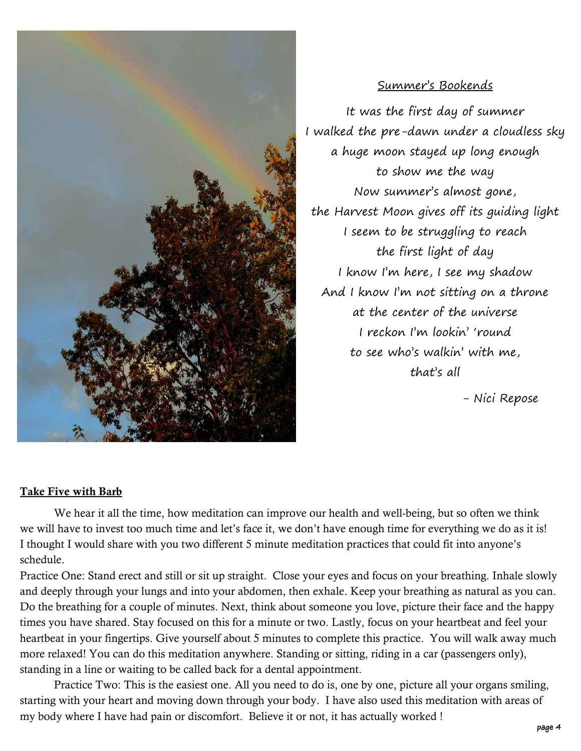

## Summer's Bookends

It was the first day of summer I walked the pre-dawn under a cloudless sky a huge moon stayed up long enough to show me the way Now summer's almost gone, the Harvest Moon gives off its guiding light I seem to be struggling to reach the first light of day I know I'm here, I see my shadow And I know I'm not sitting on a throne at the center of the universe I reckon I'm lookin' 'round to see who's walkin' with me, that's all

- Nici Repose

### Take Five with Barb

 We hear it all the time, how meditation can improve our health and well-being, but so often we think we will have to invest too much time and let's face it, we don't have enough time for everything we do as it is! I thought I would share with you two different 5 minute meditation practices that could fit into anyone's schedule.

Practice One: Stand erect and still or sit up straight. Close your eyes and focus on your breathing. Inhale slowly and deeply through your lungs and into your abdomen, then exhale. Keep your breathing as natural as you can. Do the breathing for a couple of minutes. Next, think about someone you love, picture their face and the happy times you have shared. Stay focused on this for a minute or two. Lastly, focus on your heartbeat and feel your heartbeat in your fingertips. Give yourself about 5 minutes to complete this practice. You will walk away much more relaxed! You can do this meditation anywhere. Standing or sitting, riding in a car (passengers only), standing in a line or waiting to be called back for a dental appointment.

 Practice Two: This is the easiest one. All you need to do is, one by one, picture all your organs smiling, starting with your heart and moving down through your body. I have also used this meditation with areas of my body where I have had pain or discomfort. Believe it or not, it has actually worked !